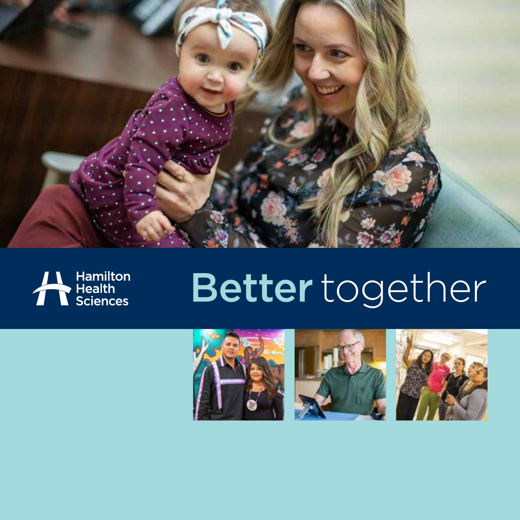



# Better together





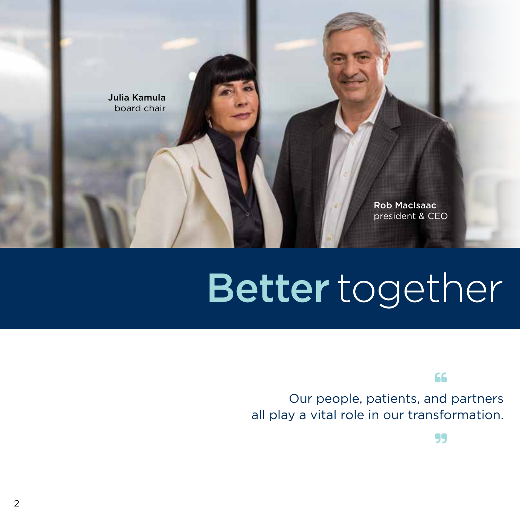

# Better together

66

Our people, patients, and partners all play a vital role in our transformation.

99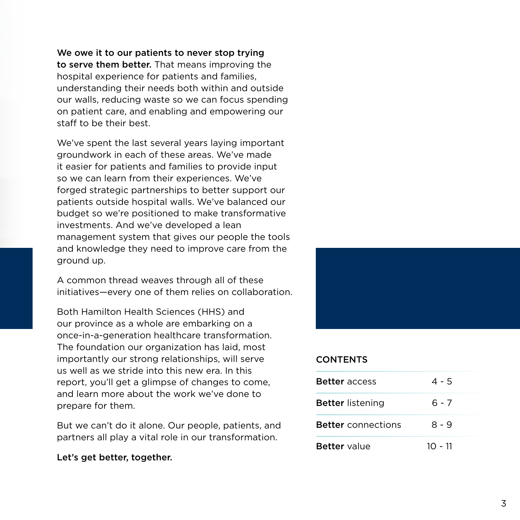We owe it to our patients to never stop trying to serve them better. That means improving the hospital experience for patients and families, understanding their needs both within and outside our walls, reducing waste so we can focus spending on patient care, and enabling and empowering our staff to be their best.

We've spent the last several years laying important groundwork in each of these areas. We've made it easier for patients and families to provide input so we can learn from their experiences. We've forged strategic partnerships to better support our patients outside hospital walls. We've balanced our budget so we're positioned to make transformative investments. And we've developed a lean management system that gives our people the tools and knowledge they need to improve care from the ground up.

A common thread weaves through all of these initiatives—every one of them relies on collaboration.

Both Hamilton Health Sciences (HHS) and our province as a whole are embarking on a once-in-a-generation healthcare transformation. The foundation our organization has laid, most importantly our strong relationships, will serve us well as we stride into this new era. In this report, you'll get a glimpse of changes to come, and learn more about the work we've done to prepare for them.

But we can't do it alone. Our people, patients, and partners all play a vital role in our transformation.

#### Let's get better, together.



#### **CONTENTS**

| <b>Better</b> access      | $4 - 5$   |
|---------------------------|-----------|
| <b>Better</b> listening   | հ - 7     |
| <b>Better</b> connections | $8 - 9$   |
| <b>Better</b> value       | $10 - 11$ |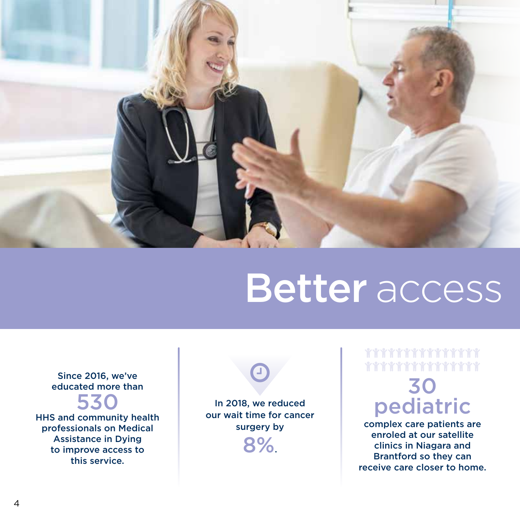

### Better access

Since 2016, we've educated more than

### 530

HHS and community health professionals on Medical Assistance in Dying to improve access to this service.

In 2018, we reduced our wait time for cancer surgery by 8%.

 $\bigodot$ 

### \*\*\*\*\*\*\*\*\*\*\*\*\*\* \*\*\*\*\*\*\*\*\*\*\*

### 30 pediatric

complex care patients are enroled at our satellite clinics in Niagara and Brantford so they can receive care closer to home.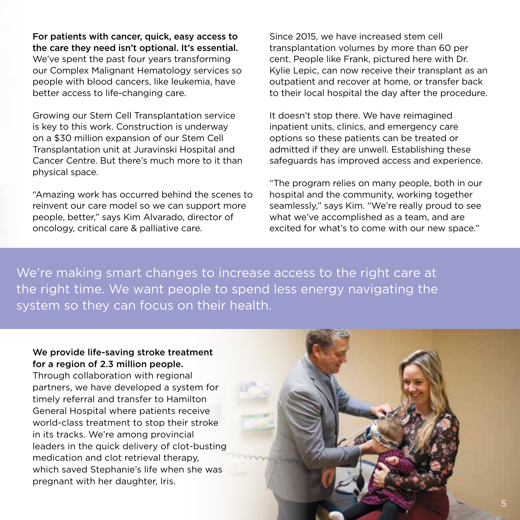For patients with cancer, quick, easy access to the care they need isn't optional. It's essential.

We've spent the past four years transforming our Complex Malignant Hematology services so people with blood cancers, like leukemia, have better access to life-changing care.

Growing our Stem Cell Transplantation service is key to this work. Construction is underway on a \$30 million expansion of our Stem Cell Transplantation unit at Juravinski Hospital and Cancer Centre. But there's much more to it than physical space.

"Amazing work has occurred behind the scenes to reinvent our care model so we can support more people, better," says Kim Alvarado, director of oncology, critical care & palliative care.

Since 2015, we have increased stem cell transplantation volumes by more than 60 per cent. People like Frank, pictured here with Dr. Kylie Lepic, can now receive their transplant as an outpatient and recover at home, or transfer back to their local hospital the day after the procedure.

It doesn't stop there. We have reimagined inpatient units, clinics, and emergency care options so these patients can be treated or admitted if they are unwell. Establishing these safeguards has improved access and experience.

"The program relies on many people, both in our hospital and the community, working together seamlessly," says Kim. "We're really proud to see what we've accomplished as a team, and are excited for what's to come with our new space."

We're making smart changes to increase access to the right care at the right time. We want people to spend less energy navigating the system so they can focus on their health.

### We provide life-saving stroke treatment for a region of 2.3 million people.

Through collaboration with regional partners, we have developed a system for timely referral and transfer to Hamilton General Hospital where patients receive world-class treatment to stop their stroke in its tracks. We're among provincial leaders in the quick delivery of clot-busting medication and clot retrieval therapy, which saved Stephanie's life when she was pregnant with her daughter, Iris.

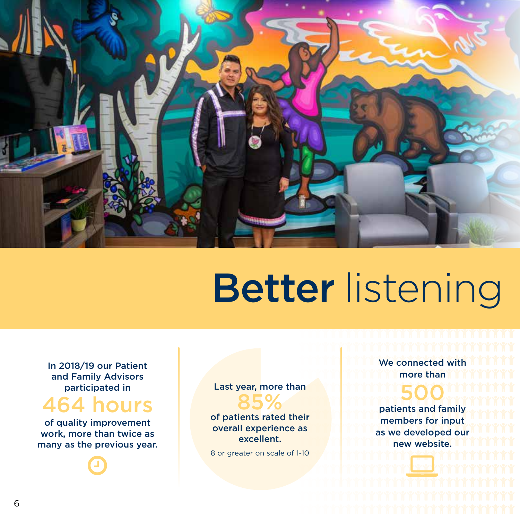

# **Better listening**

In 2018/19 our Patient and Family Advisors participated in

### 64 hours

of quality improvement work, more than twice as many as the previous year.



Last year, more than 85%

of patients rated their overall experience as excellent.

 8 or greater on scale of 1-10

**We connected with a state of the state of the state of the state of the state of the state of the state of the state of the state of the state of the state of the state of the state of the state of the state of the state** more than

<u> TELEVISION NAMES DE L'ANNO DE L'ANNO DE L'ANNO DE L'ANNO DE L'ANNO DE L'ANNO DE L'ANNO DE L'ANNO DE L'ANNO DE</u> ,,,,,,,,,,,,,,,,,,,,,,,,,,,,,,,,,,

#### **DEATH AND A STATE OF A STATE OF A STATE OF A STATE OF A STATE OF A STATE OF A STATE OF A STATE OF A STATE OF A** <u>de la provincia de la provincia de la provincia de la provincia de la provincia de la provincia de la provincia</u> 500

eir **and the patients and lamily solved in the set of the set of the set of the set of the set of the set of the set of the set of the set of the set of the set of the set of the set of the set of the set of the set of the** as as we developed our limit in the second was we developed our limit in the second was well as a second was w **new website. In the think of the state of the state of the state of the state of the state of the state of the state of the state of the state of the state of the state of the state of the state of the state of the state** patients and family

 $\begin{array}{c} \hline \ \hline \ \hline \ \hline \ \hline \ \hline \end{array}$ 

<u>a sa shekara ta ƙasar ƙafa ta ƙasar ƙafa</u>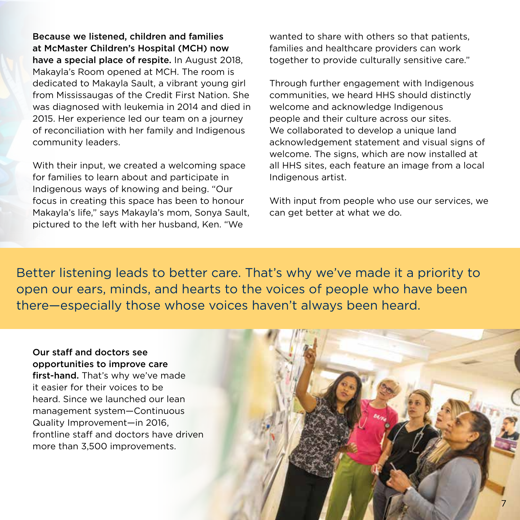Because we listened, children and families at McMaster Children's Hospital (MCH) now have a special place of respite. In August 2018, Makayla's Room opened at MCH. The room is dedicated to Makayla Sault, a vibrant young girl from Mississaugas of the Credit First Nation. She was diagnosed with leukemia in 2014 and died in 2015. Her experience led our team on a journey of reconciliation with her family and Indigenous community leaders.

With their input, we created a welcoming space for families to learn about and participate in Indigenous ways of knowing and being. "Our focus in creating this space has been to honour Makayla's life," says Makayla's mom, Sonya Sault, pictured to the left with her husband, Ken. "We

wanted to share with others so that patients, families and healthcare providers can work together to provide culturally sensitive care."

Through further engagement with Indigenous communities, we heard HHS should distinctly welcome and acknowledge Indigenous people and their culture across our sites. We collaborated to develop a unique land acknowledgement statement and visual signs of welcome. The signs, which are now installed at all HHS sites, each feature an image from a local Indigenous artist.

With input from people who use our services, we can get better at what we do.

Better listening leads to better care. That's why we've made it a priority to open our ears, minds, and hearts to the voices of people who have been there—especially those whose voices haven't always been heard.

### Our staff and doctors see opportunities to improve care

first-hand. That's why we've made it easier for their voices to be heard. Since we launched our lean management system—Continuous Quality Improvement—in 2016, frontline staff and doctors have driven more than 3,500 improvements.

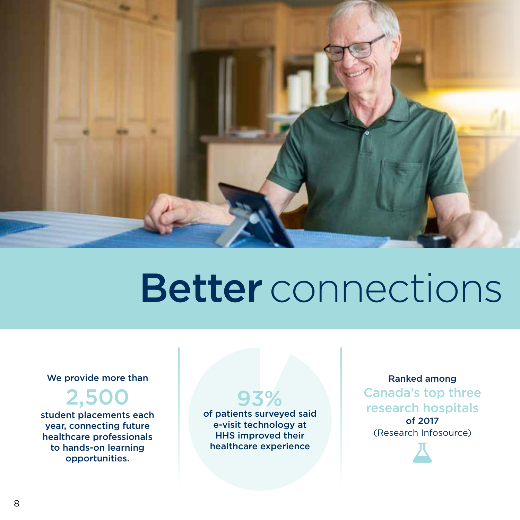

## Better connections

### We provide more than

2,500

student placements each year, connecting future healthcare professionals to hands-on learning opportunities.

of patients surveyed said e-visit technology at HHS improved their healthcare experience

93%

Ranked among Canada's top three research hospitals of 2017 (Research Infosource)

 $\overline{\mathbf{A}}$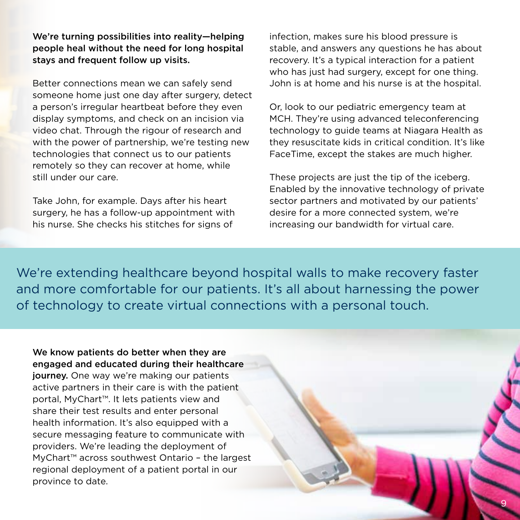We're turning possibilities into reality—helping people heal without the need for long hospital stays and frequent follow up visits.

Better connections mean we can safely send someone home just one day after surgery, detect a person's irregular heartbeat before they even display symptoms, and check on an incision via video chat. Through the rigour of research and with the power of partnership, we're testing new technologies that connect us to our patients remotely so they can recover at home, while still under our care.

Take John, for example. Days after his heart surgery, he has a follow-up appointment with his nurse. She checks his stitches for signs of

infection, makes sure his blood pressure is stable, and answers any questions he has about recovery. It's a typical interaction for a patient who has just had surgery, except for one thing. John is at home and his nurse is at the hospital.

Or, look to our pediatric emergency team at MCH. They're using advanced teleconferencing technology to guide teams at Niagara Health as they resuscitate kids in critical condition. It's like FaceTime, except the stakes are much higher.

These projects are just the tip of the iceberg. Enabled by the innovative technology of private sector partners and motivated by our patients' desire for a more connected system, we're increasing our bandwidth for virtual care.

We're extending healthcare beyond hospital walls to make recovery faster and more comfortable for our patients. It's all about harnessing the power of technology to create virtual connections with a personal touch.

### We know patients do better when they are engaged and educated during their healthcare

journey. One way we're making our patients active partners in their care is with the patient portal, MyChart™. It lets patients view and share their test results and enter personal health information. It's also equipped with a secure messaging feature to communicate with providers. We're leading the deployment of MyChart™ across southwest Ontario – the largest regional deployment of a patient portal in our province to date.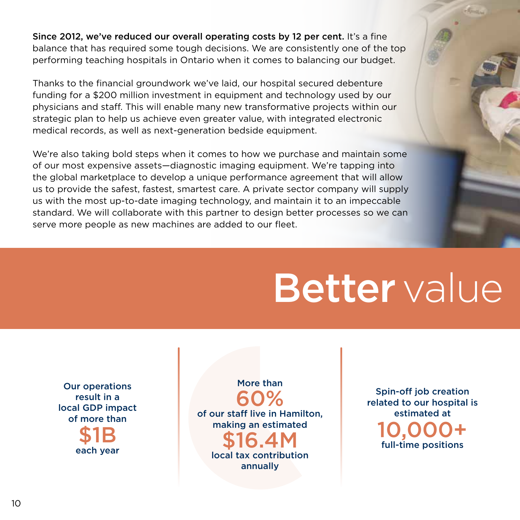Since 2012, we've reduced our overall operating costs by 12 per cent. It's a fine balance that has required some tough decisions. We are consistently one of the top performing teaching hospitals in Ontario when it comes to balancing our budget.

Thanks to the financial groundwork we've laid, our hospital secured debenture funding for a \$200 million investment in equipment and technology used by our physicians and staff. This will enable many new transformative projects within our strategic plan to help us achieve even greater value, with integrated electronic medical records, as well as next-generation bedside equipment.

We're also taking bold steps when it comes to how we purchase and maintain some of our most expensive assets—diagnostic imaging equipment. We're tapping into the global marketplace to develop a unique performance agreement that will allow us to provide the safest, fastest, smartest care. A private sector company will supply us with the most up-to-date imaging technology, and maintain it to an impeccable standard. We will collaborate with this partner to design better processes so we can serve more people as new machines are added to our fleet.

## **Better** value

Our operations result in a local GDP impact of more than

> \$1B each year

More than 60% of our staff live in Hamilton, making an estimated \$16.4M local tax contribution annually

Spin-off job creation related to our hospital is estimated at 10,000+ full-time positions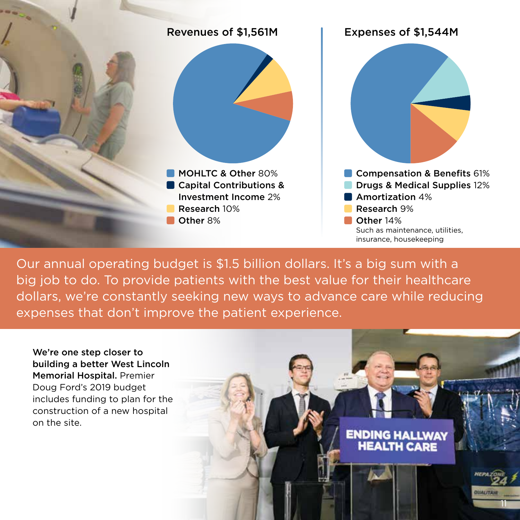

Our annual operating budget is \$1.5 billion dollars. It's a big sum with a big job to do. To provide patients with the best value for their healthcare dollars, we're constantly seeking new ways to advance care while reducing expenses that don't improve the patient experience.

We're one step closer to building a better West Lincoln Memorial Hospital. Premier Doug Ford's 2019 budget includes funding to plan for the construction of a new hospital on the site.

**ENDING HALLWAY<br>HEALTH CARE** 

11